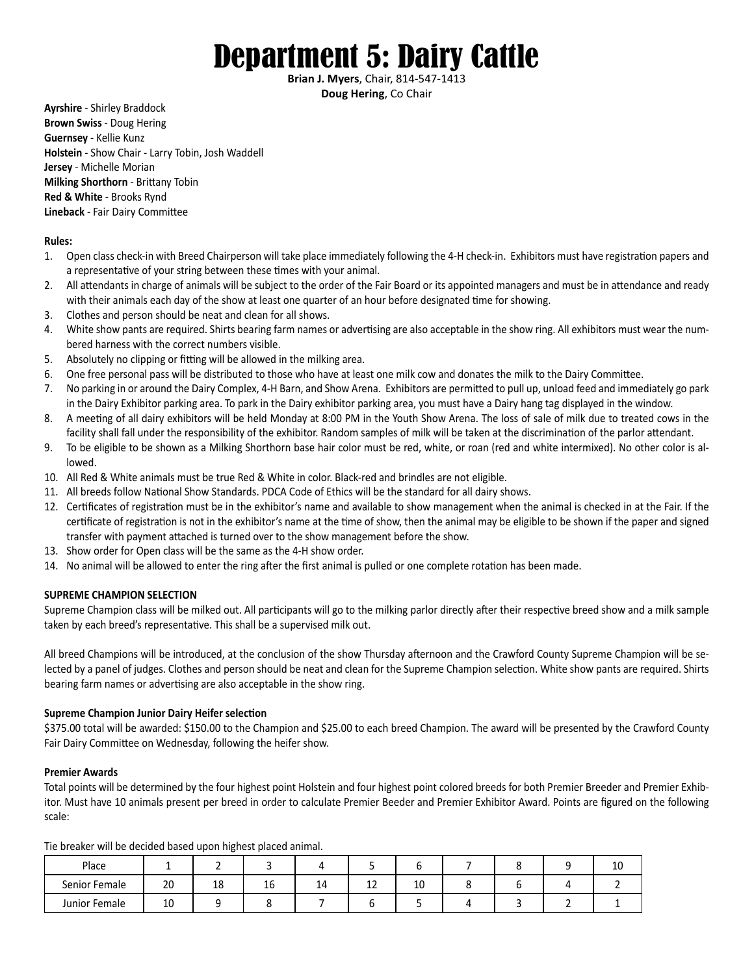# Department 5: Dairy Cattle

**Brian J. Myers**, Chair, 814-547-1413 **Doug Hering**, Co Chair

**Ayrshire** - Shirley Braddock **Brown Swiss** - Doug Hering **Guernsey** - Kellie Kunz **Holstein** - Show Chair - Larry Tobin, Josh Waddell **Jersey** - Michelle Morian **Milking Shorthorn** - Brittany Tobin **Red & White** - Brooks Rynd **Lineback** - Fair Dairy Committee

### **Rules:**

- 1. Open class check-in with Breed Chairperson will take place immediately following the 4-H check-in. Exhibitors must have registration papers and a representative of your string between these times with your animal.
- 2. All attendants in charge of animals will be subject to the order of the Fair Board or its appointed managers and must be in attendance and ready with their animals each day of the show at least one quarter of an hour before designated time for showing.
- 3. Clothes and person should be neat and clean for all shows.
- 4. White show pants are required. Shirts bearing farm names or advertising are also acceptable in the show ring. All exhibitors must wear the numbered harness with the correct numbers visible.
- 5. Absolutely no clipping or fitting will be allowed in the milking area.
- 6. One free personal pass will be distributed to those who have at least one milk cow and donates the milk to the Dairy Committee.
- 7. No parking in or around the Dairy Complex, 4-H Barn, and Show Arena. Exhibitors are permitted to pull up, unload feed and immediately go park in the Dairy Exhibitor parking area. To park in the Dairy exhibitor parking area, you must have a Dairy hang tag displayed in the window.
- 8. A meeting of all dairy exhibitors will be held Monday at 8:00 PM in the Youth Show Arena. The loss of sale of milk due to treated cows in the facility shall fall under the responsibility of the exhibitor. Random samples of milk will be taken at the discrimination of the parlor attendant.
- 9. To be eligible to be shown as a Milking Shorthorn base hair color must be red, white, or roan (red and white intermixed). No other color is allowed.
- 10. All Red & White animals must be true Red & White in color. Black-red and brindles are not eligible.
- 11. All breeds follow National Show Standards. PDCA Code of Ethics will be the standard for all dairy shows.
- 12. Certificates of registration must be in the exhibitor's name and available to show management when the animal is checked in at the Fair. If the certificate of registration is not in the exhibitor's name at the time of show, then the animal may be eligible to be shown if the paper and signed transfer with payment attached is turned over to the show management before the show.
- 13. Show order for Open class will be the same as the 4-H show order.
- 14. No animal will be allowed to enter the ring after the first animal is pulled or one complete rotation has been made.

### **SUPREME CHAMPION SELECTION**

Supreme Champion class will be milked out. All participants will go to the milking parlor directly after their respective breed show and a milk sample taken by each breed's representative. This shall be a supervised milk out.

All breed Champions will be introduced, at the conclusion of the show Thursday afternoon and the Crawford County Supreme Champion will be selected by a panel of judges. Clothes and person should be neat and clean for the Supreme Champion selection. White show pants are required. Shirts bearing farm names or advertising are also acceptable in the show ring.

### **Supreme Champion Junior Dairy Heifer selection**

\$375.00 total will be awarded: \$150.00 to the Champion and \$25.00 to each breed Champion. The award will be presented by the Crawford County Fair Dairy Committee on Wednesday, following the heifer show.

### **Premier Awards**

Total points will be determined by the four highest point Holstein and four highest point colored breeds for both Premier Breeder and Premier Exhibitor. Must have 10 animals present per breed in order to calculate Premier Beeder and Premier Exhibitor Award. Points are figured on the following scale:

|               |    | $\tilde{\phantom{a}}$ |              |     |   |    |  |    |
|---------------|----|-----------------------|--------------|-----|---|----|--|----|
| Place         |    |                       |              |     |   |    |  | 10 |
| Senior Female | 20 | 1 ດ<br>ŦΟ             | $\sim$<br>10 | . . | ᆠ | πn |  |    |
| Junior Female | 10 |                       |              |     |   |    |  |    |

Tie breaker will be decided based upon highest placed animal.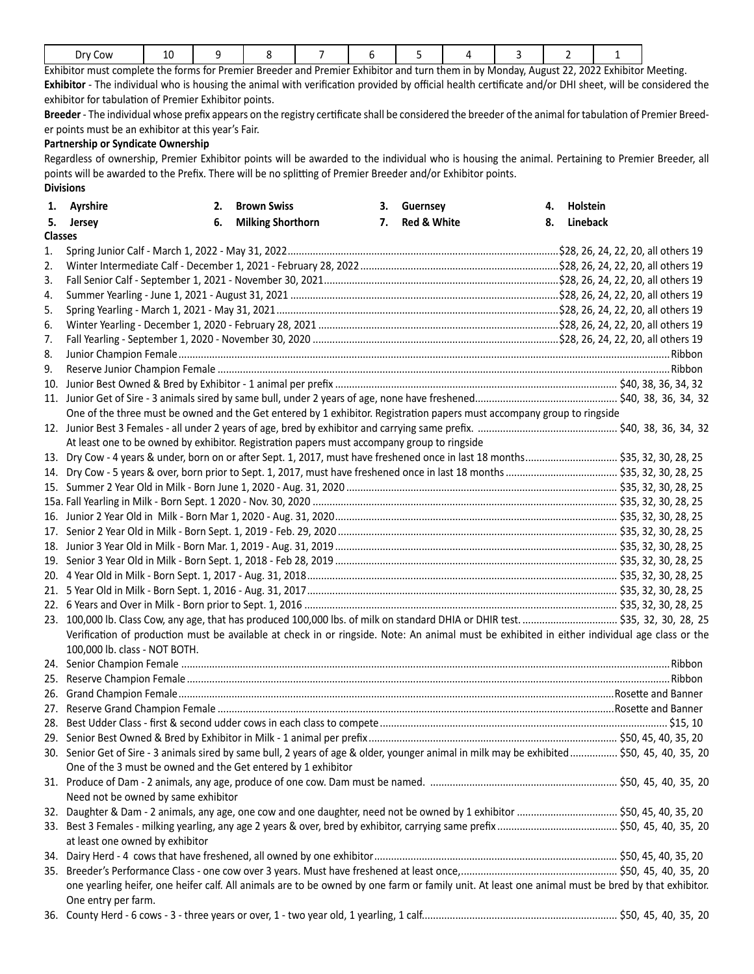|  | Dry Cow | $\overline{\phantom{a}}$<br>ᅩ |  |  |  |  |  |  |  |  |  |
|--|---------|-------------------------------|--|--|--|--|--|--|--|--|--|
|--|---------|-------------------------------|--|--|--|--|--|--|--|--|--|

Exhibitor must complete the forms for Premier Breeder and Premier Exhibitor and turn them in by Monday, August 22, 2022 Exhibitor Meeting. **Exhibitor** - The individual who is housing the animal with verification provided by official health certificate and/or DHI sheet, will be considered the exhibitor for tabulation of Premier Exhibitor points.

**Breeder** - The individual whose prefix appears on the registry certificate shall be considered the breeder of the animal for tabulation of Premier Breeder points must be an exhibitor at this year's Fair.

### **Partnership or Syndicate Ownership**

Regardless of ownership, Premier Exhibitor points will be awarded to the individual who is housing the animal. Pertaining to Premier Breeder, all points will be awarded to the Prefix. There will be no splitting of Premier Breeder and/or Exhibitor points. **Divisions**

|                | 1. Ayrshire                                                                                                                                       | 2. | <b>Brown Swiss</b>       | 3. Guernsey    | 4. | Holstein |  |
|----------------|---------------------------------------------------------------------------------------------------------------------------------------------------|----|--------------------------|----------------|----|----------|--|
|                | 5. Jersey                                                                                                                                         | 6. | <b>Milking Shorthorn</b> | 7. Red & White | 8. | Lineback |  |
| <b>Classes</b> |                                                                                                                                                   |    |                          |                |    |          |  |
| 1.             |                                                                                                                                                   |    |                          |                |    |          |  |
| 2.             |                                                                                                                                                   |    |                          |                |    |          |  |
| 3.             |                                                                                                                                                   |    |                          |                |    |          |  |
| 4.             |                                                                                                                                                   |    |                          |                |    |          |  |
| 5.             |                                                                                                                                                   |    |                          |                |    |          |  |
| 6.             |                                                                                                                                                   |    |                          |                |    |          |  |
| 7.             |                                                                                                                                                   |    |                          |                |    |          |  |
| 8.             |                                                                                                                                                   |    |                          |                |    |          |  |
| 9.             |                                                                                                                                                   |    |                          |                |    |          |  |
| 10.            |                                                                                                                                                   |    |                          |                |    |          |  |
| 11.            |                                                                                                                                                   |    |                          |                |    |          |  |
|                | One of the three must be owned and the Get entered by 1 exhibitor. Registration papers must accompany group to ringside                           |    |                          |                |    |          |  |
|                |                                                                                                                                                   |    |                          |                |    |          |  |
|                | At least one to be owned by exhibitor. Registration papers must accompany group to ringside                                                       |    |                          |                |    |          |  |
| 13.            | Dry Cow - 4 years & under, born on or after Sept. 1, 2017, must have freshened once in last 18 months \$35, 32, 30, 28, 25                        |    |                          |                |    |          |  |
| 14.            |                                                                                                                                                   |    |                          |                |    |          |  |
|                |                                                                                                                                                   |    |                          |                |    |          |  |
|                |                                                                                                                                                   |    |                          |                |    |          |  |
|                |                                                                                                                                                   |    |                          |                |    |          |  |
| 17.            |                                                                                                                                                   |    |                          |                |    |          |  |
|                |                                                                                                                                                   |    |                          |                |    |          |  |
| 19.            |                                                                                                                                                   |    |                          |                |    |          |  |
|                |                                                                                                                                                   |    |                          |                |    |          |  |
| 21.            |                                                                                                                                                   |    |                          |                |    |          |  |
|                |                                                                                                                                                   |    |                          |                |    |          |  |
|                |                                                                                                                                                   |    |                          |                |    |          |  |
|                | Verification of production must be available at check in or ringside. Note: An animal must be exhibited in either individual age class or the     |    |                          |                |    |          |  |
|                | 100,000 lb. class - NOT BOTH.                                                                                                                     |    |                          |                |    |          |  |
|                |                                                                                                                                                   |    |                          |                |    |          |  |
| 25.            |                                                                                                                                                   |    |                          |                |    |          |  |
| 26.            |                                                                                                                                                   |    |                          |                |    |          |  |
| 27.            |                                                                                                                                                   |    |                          |                |    |          |  |
| 28.            |                                                                                                                                                   |    |                          |                |    |          |  |
|                |                                                                                                                                                   |    |                          |                |    |          |  |
|                | 30. Senior Get of Sire - 3 animals sired by same bull, 2 years of age & older, younger animal in milk may be exhibited \$50, 45, 40, 35, 20       |    |                          |                |    |          |  |
|                | One of the 3 must be owned and the Get entered by 1 exhibitor                                                                                     |    |                          |                |    |          |  |
|                |                                                                                                                                                   |    |                          |                |    |          |  |
|                | Need not be owned by same exhibitor                                                                                                               |    |                          |                |    |          |  |
|                |                                                                                                                                                   |    |                          |                |    |          |  |
| 32.            |                                                                                                                                                   |    |                          |                |    |          |  |
|                | at least one owned by exhibitor                                                                                                                   |    |                          |                |    |          |  |
|                |                                                                                                                                                   |    |                          |                |    |          |  |
|                |                                                                                                                                                   |    |                          |                |    |          |  |
|                | one yearling heifer, one heifer calf. All animals are to be owned by one farm or family unit. At least one animal must be bred by that exhibitor. |    |                          |                |    |          |  |
|                |                                                                                                                                                   |    |                          |                |    |          |  |
|                | One entry per farm.                                                                                                                               |    |                          |                |    |          |  |
|                |                                                                                                                                                   |    |                          |                |    |          |  |